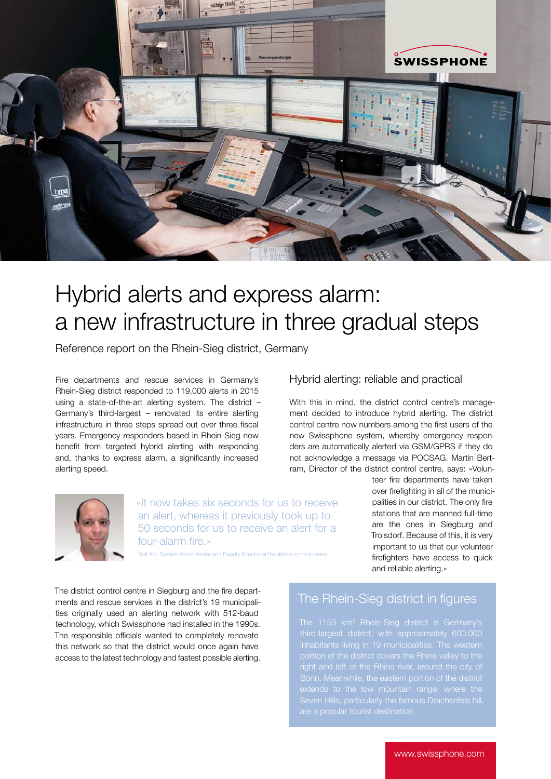

# Hybrid alerts and express alarm: a new infrastructure in three gradual steps

Reference report on the Rhein-Sieg district, Germany

Fire departments and rescue services in Germany's Rhein-Sieg district responded to 119,000 alerts in 2015 using a state-of-the-art alerting system. The district – Germany's third-largest – renovated its entire alerting infrastructure in three steps spread out over three fiscal years. Emergency responders based in Rhein-Sieg now benefit from targeted hybrid alerting with responding and, thanks to express alarm, a significantly increased alerting speed.



With this in mind, the district control centre's management decided to introduce hybrid alerting. The district control centre now numbers among the first users of the new Swissphone system, whereby emergency responders are automatically alerted via GSM/GPRS if they do not acknowledge a message via POCSAG. Martin Bertram, Director of the district control centre, says: «Volun-



«It now takes six seconds for us to receive an alert, whereas it previously took up to 50 seconds for us to receive an alert for a four-alarm fire.»

Rystem Administrator and Deputy Director of the district control and  $n = 1$ 

teer fire departments have taken over firefighting in all of the municipalities in our district. The only fire stations that are manned full-time are the ones in Siegburg and Troisdorf. Because of this, it is very important to us that our volunteer firefighters have access to quick and reliable alerting.»

The district control centre in Siegburg and the fire departments and rescue services in the district's 19 municipalities originally used an alerting network with 512-baud technology, which Swissphone had installed in the 1990s. The responsible officials wanted to completely renovate this network so that the district would once again have access to the latest technology and fastest possible alerting.

## The Rhein-Sieg district in figures